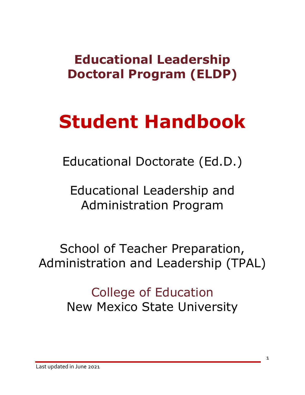# **Educational Leadership Doctoral Program (ELDP)**

# **Student Handbook**

Educational Doctorate (Ed.D.)

Educational Leadership and Administration Program

School of Teacher Preparation, Administration and Leadership (TPAL)

> College of Education New Mexico State University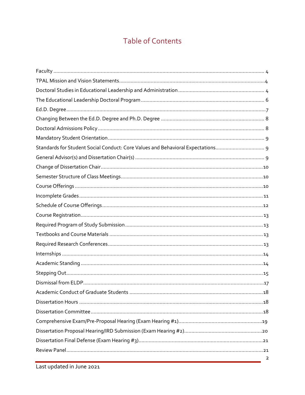# **Table of Contents**

| Standards for Student Social Conduct: Core Values and Behavioral Expectations 9 |
|---------------------------------------------------------------------------------|
|                                                                                 |
|                                                                                 |
|                                                                                 |
|                                                                                 |
|                                                                                 |
|                                                                                 |
|                                                                                 |
|                                                                                 |
|                                                                                 |
|                                                                                 |
|                                                                                 |
|                                                                                 |
|                                                                                 |
|                                                                                 |
|                                                                                 |
|                                                                                 |
|                                                                                 |
|                                                                                 |
|                                                                                 |
|                                                                                 |
|                                                                                 |
| $\overline{2}$                                                                  |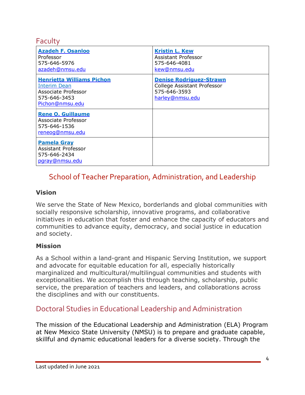## **Faculty**

| <b>Azadeh F. Osanloo</b><br>Professor<br>575-646-5976<br>azadeh@nmsu.edu                                          | <b>Kristin L. Kew</b><br>Assistant Professor<br>575-646-4081<br>kew@nmsu.edu                     |
|-------------------------------------------------------------------------------------------------------------------|--------------------------------------------------------------------------------------------------|
| <b>Henrietta Williams Pichon</b><br><b>Interim Dean</b><br>Associate Professor<br>575-646-3453<br>Pichon@nmsu.edu | <b>Denise Rodriguez-Strawn</b><br>College Assistant Professor<br>575-646-3593<br>harley@nmsu.edu |
| <b>Rene O. Guillaume</b><br>Associate Professor<br>575-646-1536<br>reneog@nmsu.edu                                |                                                                                                  |
| <b>Pamela Gray</b><br>Assistant Professor<br>575-646-2434<br>pgray@nmsu.edu                                       |                                                                                                  |

# School of Teacher Preparation, Administration, and Leadership

#### **Vision**

We serve the State of New Mexico, borderlands and global communities with socially responsive scholarship, innovative programs, and collaborative initiatives in education that foster and enhance the capacity of educators and communities to advance equity, democracy, and social justice in education and society.

#### **Mission**

As a School within a land-grant and Hispanic Serving Institution, we support and advocate for equitable education for all, especially historically marginalized and multicultural/multilingual communities and students with exceptionalities. We accomplish this through teaching, scholarship, public service, the preparation of teachers and leaders, and collaborations across the disciplines and with our constituents.

# Doctoral Studies in Educational Leadership and Administration

The mission of the Educational Leadership and Administration (ELA) Program at New Mexico State University (NMSU) is to prepare and graduate capable, skillful and dynamic educational leaders for a diverse society. Through the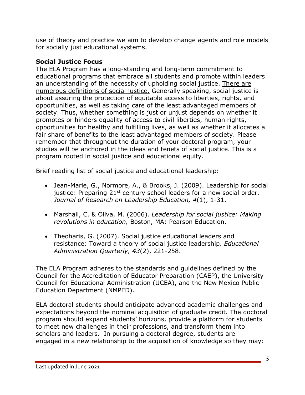use of theory and practice we aim to develop change agents and role models for socially just educational systems.

# **Social Justice Focus**

The ELA Program has a long-standing and long-term commitment to educational programs that embrace all students and promote within leaders an understanding of the necessity of upholding social justice. There are numerous definitions of social justice. Generally speaking, social justice is about assuring the protection of equitable access to liberties, rights, and opportunities, as well as taking care of the least advantaged members of society. Thus, whether something is just or unjust depends on whether it promotes or hinders equality of access to civil liberties, human rights, opportunities for healthy and fulfilling lives, as well as whether it allocates a fair share of benefits to the least advantaged members of society. Please remember that throughout the duration of your doctoral program, your studies will be anchored in the ideas and tenets of social justice. This is a program rooted in social justice and educational equity.

Brief reading list of social justice and educational leadership:

- Jean-Marie, G., Normore, A., & Brooks, J. (2009). Leadership for social justice: Preparing  $21^{st}$  century school leaders for a new social order. *Journal of Research on Leadership Education, 4*(1), 1-31.
- Marshall, C. & Oliva, M. (2006). *Leadership for social justice: Making revolutions in education,* Boston, MA: Pearson Education.
- Theoharis, G. (2007). Social justice educational leaders and resistance: Toward a theory of social justice leadership. *Educational Administration Quarterly, 43*(2), 221-258.

The ELA Program adheres to the standards and guidelines defined by the Council for the Accreditation of Educator Preparation (CAEP), the University Council for Educational Administration (UCEA), and the New Mexico Public Education Department (NMPED).

ELA doctoral students should anticipate advanced academic challenges and expectations beyond the nominal acquisition of graduate credit. The doctoral program should expand students' horizons, provide a platform for students to meet new challenges in their professions, and transform them into scholars and leaders. In pursuing a doctoral degree, students are engaged in a new relationship to the acquisition of knowledge so they may: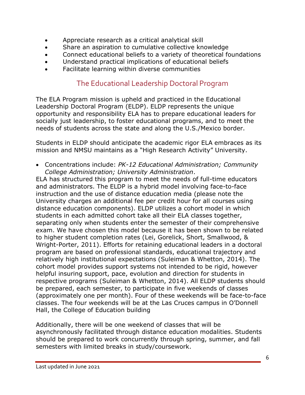- Appreciate research as a critical analytical skill
- Share an aspiration to cumulative collective knowledge
- Connect educational beliefs to a variety of theoretical foundations
- Understand practical implications of educational beliefs
- Facilitate learning within diverse communities

# The Educational Leadership Doctoral Program

The ELA Program mission is upheld and practiced in the Educational Leadership Doctoral Program (ELDP). ELDP represents the unique opportunity and responsibility ELA has to prepare educational leaders for socially just leadership, to foster educational programs, and to meet the needs of students across the state and along the U.S./Mexico border.

Students in ELDP should anticipate the academic rigor ELA embraces as its mission and NMSU maintains as a "High Research Activity" University.

• Concentrations include: *PK-12 Educational Administration; Community College Administration; University Administration*.

ELA has structured this program to meet the needs of full-time educators and administrators. The ELDP is a hybrid model involving face-to-face instruction and the use of distance education media (please note the University charges an additional fee per credit hour for all courses using distance education components). ELDP utilizes a cohort model in which students in each admitted cohort take all their ELA classes together, separating only when students enter the semester of their comprehensive exam. We have chosen this model because it has been shown to be related to higher student completion rates (Lei, Gorelick, Short, Smallwood, & Wright-Porter, 2011). Efforts for retaining educational leaders in a doctoral program are based on professional standards, educational trajectory and relatively high institutional expectations (Suleiman & Whetton, 2014). The cohort model provides support systems not intended to be rigid, however helpful insuring support, pace, evolution and direction for students in respective programs (Suleiman & Whetton, 2014). All ELDP students should be prepared, each semester, to participate in five weekends of classes (approximately one per month). Four of these weekends will be face-to-face classes. The four weekends will be at the Las Cruces campus in O'Donnell Hall, the College of Education building

Additionally, there will be one weekend of classes that will be asynchronously facilitated through distance education modalities. Students should be prepared to work concurrently through spring, summer, and fall semesters with limited breaks in study/coursework.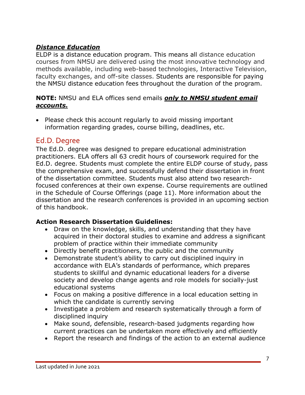# *Distance Education*

ELDP is a distance education program. This means all distance education courses from NMSU are delivered using the most innovative technology and methods available, including web-based technologies, Interactive Television, faculty exchanges, and off-site classes. Students are responsible for paying the NMSU distance education fees throughout the duration of the program.

#### **NOTE:** NMSU and ELA offices send emails *only to NMSU student email accounts.*

• Please check this account regularly to avoid missing important information regarding grades, course billing, deadlines, etc.

# Ed.D. Degree

The Ed.D. degree was designed to prepare educational administration practitioners. ELA offers all 63 credit hours of coursework required for the Ed.D. degree. Students must complete the entire ELDP course of study, pass the comprehensive exam, and successfully defend their dissertation in front of the dissertation committee. Students must also attend two researchfocused conferences at their own expense. Course requirements are outlined in the Schedule of Course Offerings (page 11). More information about the dissertation and the research conferences is provided in an upcoming section of this handbook.

#### **Action Research Dissertation Guidelines:**

- Draw on the knowledge, skills, and understanding that they have acquired in their doctoral studies to examine and address a significant problem of practice within their immediate community
- Directly benefit practitioners, the public and the community
- Demonstrate student's ability to carry out disciplined inquiry in accordance with ELA's standards of performance, which prepares students to skillful and dynamic educational leaders for a diverse society and develop change agents and role models for socially-just educational systems
- Focus on making a positive difference in a local education setting in which the candidate is currently serving
- Investigate a problem and research systematically through a form of disciplined inquiry
- Make sound, defensible, research-based judgments regarding how current practices can be undertaken more effectively and efficiently
- Report the research and findings of the action to an external audience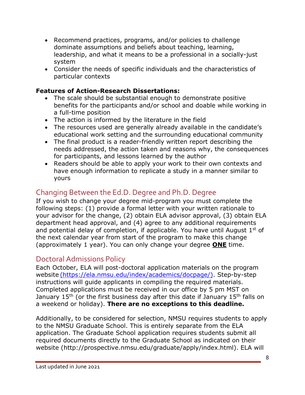- Recommend practices, programs, and/or policies to challenge dominate assumptions and beliefs about teaching, learning, leadership, and what it means to be a professional in a socially-just system
- Consider the needs of specific individuals and the characteristics of particular contexts

## **Features of Action-Research Dissertations:**

- The scale should be substantial enough to demonstrate positive benefits for the participants and/or school and doable while working in a full-time position
- The action is informed by the literature in the field
- The resources used are generally already available in the candidate's educational work setting and the surrounding educational community
- The final product is a reader-friendly written report describing the needs addressed, the action taken and reasons why, the consequences for participants, and lessons learned by the author
- Readers should be able to apply your work to their own contexts and have enough information to replicate a study in a manner similar to yours

# Changing Between the Ed.D. Degree and Ph.D. Degree

If you wish to change your degree mid-program you must complete the following steps: (1) provide a formal letter with your written rationale to your advisor for the change, (2) obtain ELA advisor approval, (3) obtain ELA department head approval, and (4) agree to any additional requirements and potential delay of completion, if applicable. You have until August  $1<sup>st</sup>$  of the next calendar year from start of the program to make this change (approximately 1 year). You can only change your degree **ONE** time.

# Doctoral Admissions Policy

Each October, ELA will post-doctoral application materials on the program website (https://ela.nmsu.edu/index/academics/docpage/). Step-by-step instructions will guide applicants in compiling the required materials. Completed applications must be received in our office by 5 pm MST on January  $15<sup>th</sup>$  (or the first business day after this date if January  $15<sup>th</sup>$  falls on a weekend or holiday). **There are no exceptions to this deadline.**

Additionally, to be considered for selection, NMSU requires students to apply to the NMSU Graduate School. This is entirely separate from the ELA application. The Graduate School application requires students submit all required documents directly to the Graduate School as indicated on their website (http://prospective.nmsu.edu/graduate/apply/index.html). ELA will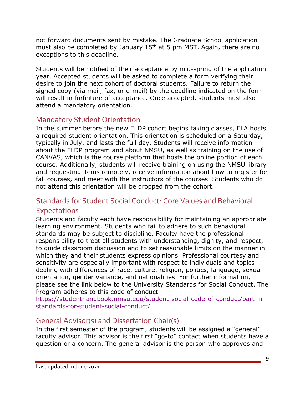not forward documents sent by mistake. The Graduate School application must also be completed by January  $15<sup>th</sup>$  at 5 pm MST. Again, there are no exceptions to this deadline.

Students will be notified of their acceptance by mid-spring of the application year. Accepted students will be asked to complete a form verifying their desire to join the next cohort of doctoral students. Failure to return the signed copy (via mail, fax, or e-mail) by the deadline indicated on the form will result in forfeiture of acceptance. Once accepted, students must also attend a mandatory orientation.

# Mandatory Student Orientation

In the summer before the new ELDP cohort begins taking classes, ELA hosts a required student orientation. This orientation is scheduled on a Saturday, typically in July, and lasts the full day. Students will receive information about the ELDP program and about NMSU, as well as training on the use of CANVAS, which is the course platform that hosts the online portion of each course. Additionally, students will receive training on using the NMSU library and requesting items remotely, receive information about how to register for fall courses, and meet with the instructors of the courses. Students who do not attend this orientation will be dropped from the cohort.

# Standards for Student Social Conduct: Core Values and Behavioral

# Expectations

Students and faculty each have responsibility for maintaining an appropriate learning environment. Students who fail to adhere to such behavioral standards may be subject to discipline. Faculty have the professional responsibility to treat all students with understanding, dignity, and respect, to guide classroom discussion and to set reasonable limits on the manner in which they and their students express opinions. Professional courtesy and sensitivity are especially important with respect to individuals and topics dealing with differences of race, culture, religion, politics, language, sexual orientation, gender variance, and nationalities. For further information, please see the link below to the University Standards for Social Conduct. The Program adheres to this code of conduct.

https://studenthandbook.nmsu.edu/student-social-code-of-conduct/part-iiistandards-for-student-social-conduct/

# General Advisor(s) and Dissertation Chair(s)

In the first semester of the program, students will be assigned a "general" faculty advisor. This advisor is the first "go-to" contact when students have a question or a concern. The general advisor is the person who approves and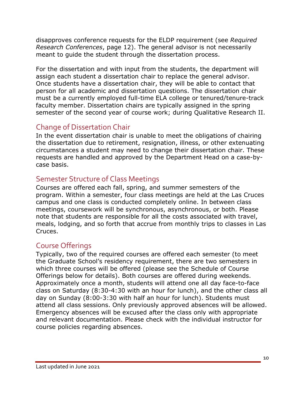disapproves conference requests for the ELDP requirement (see *Required Research Conferences*, page 12). The general advisor is not necessarily meant to guide the student through the dissertation process.

For the dissertation and with input from the students, the department will assign each student a dissertation chair to replace the general advisor. Once students have a dissertation chair, they will be able to contact that person for all academic and dissertation questions. The dissertation chair must be a currently employed full-time ELA college or tenured/tenure-track faculty member. Dissertation chairs are typically assigned in the spring semester of the second year of course work; during Qualitative Research II.

# Change of Dissertation Chair

In the event dissertation chair is unable to meet the obligations of chairing the dissertation due to retirement, resignation, illness, or other extenuating circumstances a student may need to change their dissertation chair. These requests are handled and approved by the Department Head on a case-bycase basis.

# Semester Structure of Class Meetings

Courses are offered each fall, spring, and summer semesters of the program. Within a semester, four class meetings are held at the Las Cruces campus and one class is conducted completely online. In between class meetings, coursework will be synchronous, asynchronous, or both. Please note that students are responsible for all the costs associated with travel, meals, lodging, and so forth that accrue from monthly trips to classes in Las Cruces.

# Course Offerings

Typically, two of the required courses are offered each semester (to meet the Graduate School's residency requirement, there are two semesters in which three courses will be offered (please see the Schedule of Course Offerings below for details). Both courses are offered during weekends. Approximately once a month, students will attend one all day face-to-face class on Saturday (8:30-4:30 with an hour for lunch), and the other class all day on Sunday (8:00-3:30 with half an hour for lunch). Students must attend all class sessions. Only previously approved absences will be allowed. Emergency absences will be excused after the class only with appropriate and relevant documentation. Please check with the individual instructor for course policies regarding absences.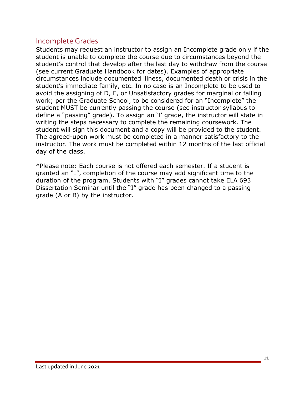# Incomplete Grades

Students may request an instructor to assign an Incomplete grade only if the student is unable to complete the course due to circumstances beyond the student's control that develop after the last day to withdraw from the course (see current Graduate Handbook for dates). Examples of appropriate circumstances include documented illness, documented death or crisis in the student's immediate family, etc. In no case is an Incomplete to be used to avoid the assigning of D, F, or Unsatisfactory grades for marginal or failing work; per the Graduate School, to be considered for an "Incomplete" the student MUST be currently passing the course (see instructor syllabus to define a "passing" grade). To assign an 'I' grade, the instructor will state in writing the steps necessary to complete the remaining coursework. The student will sign this document and a copy will be provided to the student. The agreed-upon work must be completed in a manner satisfactory to the instructor. The work must be completed within 12 months of the last official day of the class.

\*Please note: Each course is not offered each semester. If a student is granted an "I", completion of the course may add significant time to the duration of the program. Students with "I" grades cannot take ELA 693 Dissertation Seminar until the "I" grade has been changed to a passing grade (A or B) by the instructor.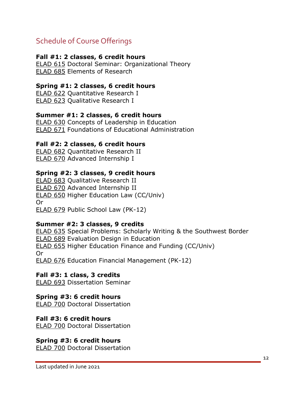# Schedule of Course Offerings

#### **Fall #1: 2 classes, 6 credit hours**

ELAD 615 Doctoral Seminar: Organizational Theory ELAD 685 Elements of Research

#### **Spring #1: 2 classes, 6 credit hours**

ELAD 622 Quantitative Research I ELAD 623 Qualitative Research I

#### **Summer #1: 2 classes, 6 credit hours**

ELAD 630 Concepts of Leadership in Education ELAD 671 Foundations of Educational Administration

#### **Fall #2: 2 classes, 6 credit hours**

ELAD 682 Quantitative Research II ELAD 670 Advanced Internship I

#### **Spring #2: 3 classes, 9 credit hours**

ELAD 683 Qualitative Research II ELAD 670 Advanced Internship II ELAD 650 Higher Education Law (CC/Univ) Or ELAD 679 Public School Law (PK-12)

#### **Summer #2: 3 classes, 9 credits**

ELAD 635 Special Problems: Scholarly Writing & the Southwest Border ELAD 689 Evaluation Design in Education ELAD 655 Higher Education Finance and Funding (CC/Univ) Or ELAD 676 Education Financial Management (PK-12)

#### **Fall #3: 1 class, 3 credits**

ELAD 693 Dissertation Seminar

#### **Spring #3: 6 credit hours**

ELAD 700 Doctoral Dissertation

#### **Fall #3: 6 credit hours**

ELAD 700 Doctoral Dissertation

#### **Spring #3: 6 credit hours**

ELAD 700 Doctoral Dissertation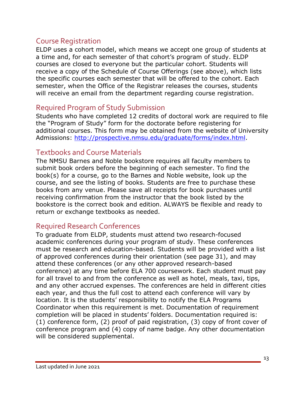# Course Registration

ELDP uses a cohort model, which means we accept one group of students at a time and, for each semester of that cohort's program of study. ELDP courses are closed to everyone but the particular cohort. Students will receive a copy of the Schedule of Course Offerings (see above), which lists the specific courses each semester that will be offered to the cohort. Each semester, when the Office of the Registrar releases the courses, students will receive an email from the department regarding course registration.

# Required Program of Study Submission

Students who have completed 12 credits of doctoral work are required to file the "Program of Study" form for the doctorate before registering for additional courses. This form may be obtained from the website of University Admissions: http://prospective.nmsu.edu/graduate/forms/index.html.

# Textbooks and Course Materials

The NMSU Barnes and Noble bookstore requires all faculty members to submit book orders before the beginning of each semester. To find the book(s) for a course, go to the Barnes and Noble website, look up the course, and see the listing of books. Students are free to purchase these books from any venue. Please save all receipts for book purchases until receiving confirmation from the instructor that the book listed by the bookstore is the correct book and edition. ALWAYS be flexible and ready to return or exchange textbooks as needed.

# Required Research Conferences

To graduate from ELDP, students must attend two research-focused academic conferences during your program of study. These conferences must be research and education-based. Students will be provided with a list of approved conferences during their orientation (see page 31), and may attend these conferences (or any other approved research-based conference) at any time before ELA 700 coursework. Each student must pay for all travel to and from the conference as well as hotel, meals, taxi, tips, and any other accrued expenses. The conferences are held in different cities each year, and thus the full cost to attend each conference will vary by location. It is the students' responsibility to notify the ELA Programs Coordinator when this requirement is met. Documentation of requirement completion will be placed in students' folders. Documentation required is: (1) conference form, (2) proof of paid registration, (3) copy of front cover of conference program and (4) copy of name badge. Any other documentation will be considered supplemental.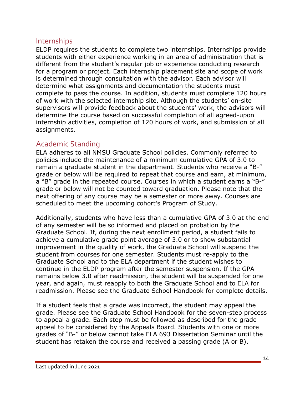# Internships

ELDP requires the students to complete two internships. Internships provide students with either experience working in an area of administration that is different from the student's regular job or experience conducting research for a program or project. Each internship placement site and scope of work is determined through consultation with the advisor. Each advisor will determine what assignments and documentation the students must complete to pass the course. In addition, students must complete 120 hours of work with the selected internship site. Although the students' on-site supervisors will provide feedback about the students' work, the advisors will determine the course based on successful completion of all agreed-upon internship activities, completion of 120 hours of work, and submission of all assignments.

# Academic Standing

ELA adheres to all NMSU Graduate School policies. Commonly referred to policies include the maintenance of a minimum cumulative GPA of 3.0 to remain a graduate student in the department. Students who receive a "B-" grade or below will be required to repeat that course and earn, at minimum, a "B" grade in the repeated course. Courses in which a student earns a "B-" grade or below will not be counted toward graduation. Please note that the next offering of any course may be a semester or more away. Courses are scheduled to meet the upcoming cohort's Program of Study.

Additionally, students who have less than a cumulative GPA of 3.0 at the end of any semester will be so informed and placed on probation by the Graduate School. If, during the next enrollment period, a student fails to achieve a cumulative grade point average of 3.0 or to show substantial improvement in the quality of work, the Graduate School will suspend the student from courses for one semester. Students must re-apply to the Graduate School and to the ELA department if the student wishes to continue in the ELDP program after the semester suspension. If the GPA remains below 3.0 after readmission, the student will be suspended for one year, and again, must reapply to both the Graduate School and to ELA for readmission. Please see the Graduate School Handbook for complete details.

If a student feels that a grade was incorrect, the student may appeal the grade. Please see the Graduate School Handbook for the seven-step process to appeal a grade. Each step must be followed as described for the grade appeal to be considered by the Appeals Board. Students with one or more grades of "B-" or below cannot take ELA 693 Dissertation Seminar until the student has retaken the course and received a passing grade (A or B).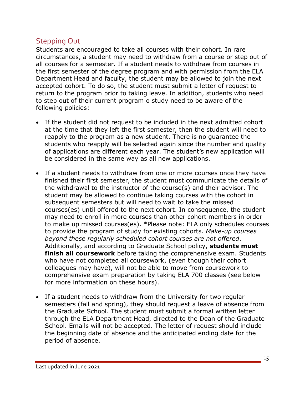# Stepping Out

Students are encouraged to take all courses with their cohort. In rare circumstances, a student may need to withdraw from a course or step out of all courses for a semester. If a student needs to withdraw from courses in the first semester of the degree program and with permission from the ELA Department Head and faculty, the student may be allowed to join the next accepted cohort. To do so, the student must submit a letter of request to return to the program prior to taking leave. In addition, students who need to step out of their current program o study need to be aware of the following policies:

- If the student did not request to be included in the next admitted cohort at the time that they left the first semester, then the student will need to reapply to the program as a new student. There is no guarantee the students who reapply will be selected again since the number and quality of applications are different each year. The student's new application will be considered in the same way as all new applications.
- If a student needs to withdraw from one or more courses once they have finished their first semester, the student must communicate the details of the withdrawal to the instructor of the course(s) and their advisor. The student may be allowed to continue taking courses with the cohort in subsequent semesters but will need to wait to take the missed courses(es) until offered to the next cohort. In consequence, the student may need to enroll in more courses than other cohort members in order to make up missed courses(es). \*Please note: ELA only schedules courses to provide the program of study for existing cohorts. *Make-up courses beyond these regularly scheduled cohort courses are not offered*. Additionally, and according to Graduate School policy, **students must finish all coursework** before taking the comprehensive exam. Students who have not completed all coursework, (even though their cohort colleagues may have), will not be able to move from coursework to comprehensive exam preparation by taking ELA 700 classes (see below for more information on these hours).
- If a student needs to withdraw from the University for two regular semesters (fall and spring), they should request a leave of absence from the Graduate School. The student must submit a formal written letter through the ELA Department Head, directed to the Dean of the Graduate School. Emails will not be accepted. The letter of request should include the beginning date of absence and the anticipated ending date for the period of absence.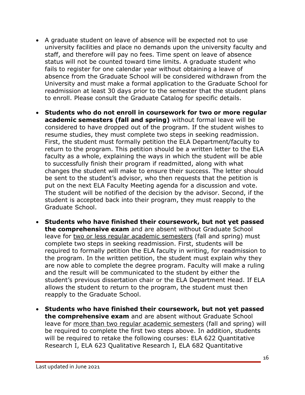- A graduate student on leave of absence will be expected not to use university facilities and place no demands upon the university faculty and staff, and therefore will pay no fees. Time spent on leave of absence status will not be counted toward time limits. A graduate student who fails to register for one calendar year without obtaining a leave of absence from the Graduate School will be considered withdrawn from the University and must make a formal application to the Graduate School for readmission at least 30 days prior to the semester that the student plans to enroll. Please consult the Graduate Catalog for specific details.
- **Students who do not enroll in coursework for two or more regular academic semesters (fall and spring)** without formal leave will be considered to have dropped out of the program. If the student wishes to resume studies, they must complete two steps in seeking readmission. First, the student must formally petition the ELA Department/faculty to return to the program. This petition should be a written letter to the ELA faculty as a whole, explaining the ways in which the student will be able to successfully finish their program if readmitted, along with what changes the student will make to ensure their success. The letter should be sent to the student's advisor, who then requests that the petition is put on the next ELA Faculty Meeting agenda for a discussion and vote. The student will be notified of the decision by the advisor. Second, if the student is accepted back into their program, they must reapply to the Graduate School.
- **Students who have finished their coursework, but not yet passed the comprehensive exam** and are absent without Graduate School leave for two or less regular academic semesters (fall and spring) must complete two steps in seeking readmission. First, students will be required to formally petition the ELA faculty in writing, for readmission to the program. In the written petition, the student must explain why they are now able to complete the degree program. Faculty will make a ruling and the result will be communicated to the student by either the student's previous dissertation chair or the ELA Department Head. If ELA allows the student to return to the program, the student must then reapply to the Graduate School.
- **Students who have finished their coursework, but not yet passed the comprehensive exam** and are absent without Graduate School leave for more than two regular academic semesters (fall and spring) will be required to complete the first two steps above. In addition, students will be required to retake the following courses: ELA 622 Ouantitative Research I, ELA 623 Qualitative Research I, ELA 682 Quantitative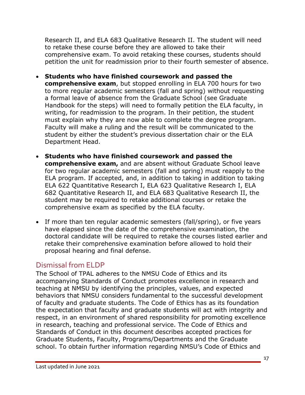Research II, and ELA 683 Qualitative Research II. The student will need to retake these course before they are allowed to take their comprehensive exam. To avoid retaking these courses, students should petition the unit for readmission prior to their fourth semester of absence.

- **Students who have finished coursework and passed the comprehensive exam**, but stopped enrolling in ELA 700 hours for two to more regular academic semesters (fall and spring) without requesting a formal leave of absence from the Graduate School (see Graduate Handbook for the steps) will need to formally petition the ELA faculty, in writing, for readmission to the program. In their petition, the student must explain why they are now able to complete the degree program. Faculty will make a ruling and the result will be communicated to the student by either the student's previous dissertation chair or the ELA Department Head.
- **Students who have finished coursework and passed the comprehensive exam,** and are absent without Graduate School leave for two regular academic semesters (fall and spring) must reapply to the ELA program. If accepted, and, in addition to taking in addition to taking ELA 622 Quantitative Research I, ELA 623 Qualitative Research I, ELA 682 Quantitative Research II, and ELA 683 Qualitative Research II, the student may be required to retake additional courses or retake the comprehensive exam as specified by the ELA faculty.
- If more than ten regular academic semesters (fall/spring), or five years have elapsed since the date of the comprehensive examination, the doctoral candidate will be required to retake the courses listed earlier and retake their comprehensive examination before allowed to hold their proposal hearing and final defense.

# Dismissal from ELDP

The School of TPAL adheres to the NMSU Code of Ethics and its accompanying Standards of Conduct promotes excellence in research and teaching at NMSU by identifying the principles, values, and expected behaviors that NMSU considers fundamental to the successful development of faculty and graduate students. The Code of Ethics has as its foundation the expectation that faculty and graduate students will act with integrity and respect, in an environment of shared responsibility for promoting excellence in research, teaching and professional service. The Code of Ethics and Standards of Conduct in this document describes accepted practices for Graduate Students, Faculty, Programs/Departments and the Graduate school. To obtain further information regarding NMSU's Code of Ethics and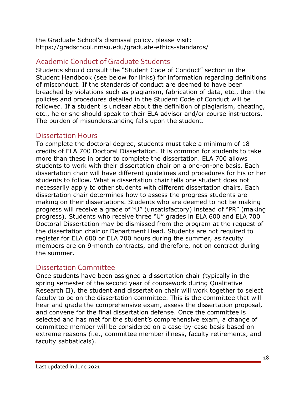the Graduate School's dismissal policy, please visit: https://gradschool.nmsu.edu/graduate-ethics-standards/

# Academic Conduct of Graduate Students

Students should consult the "Student Code of Conduct" section in the Student Handbook (see below for links) for information regarding definitions of misconduct. If the standards of conduct are deemed to have been breached by violations such as plagiarism, fabrication of data, etc., then the policies and procedures detailed in the Student Code of Conduct will be followed. If a student is unclear about the definition of plagiarism, cheating, etc., he or she should speak to their ELA advisor and/or course instructors. The burden of misunderstanding falls upon the student.

# Dissertation Hours

To complete the doctoral degree, students must take a minimum of 18 credits of ELA 700 Doctoral Dissertation. It is common for students to take more than these in order to complete the dissertation. ELA 700 allows students to work with their dissertation chair on a one-on-one basis. Each dissertation chair will have different guidelines and procedures for his or her students to follow. What a dissertation chair tells one student does not necessarily apply to other students with different dissertation chairs. Each dissertation chair determines how to assess the progress students are making on their dissertations. Students who are deemed to not be making progress will receive a grade of "U" (unsatisfactory) instead of "PR" (making progress). Students who receive three "U" grades in ELA 600 and ELA 700 Doctoral Dissertation may be dismissed from the program at the request of the dissertation chair or Department Head. Students are not required to register for ELA 600 or ELA 700 hours during the summer, as faculty members are on 9-month contracts, and therefore, not on contract during the summer.

# Dissertation Committee

Once students have been assigned a dissertation chair (typically in the spring semester of the second year of coursework during Qualitative Research II), the student and dissertation chair will work together to select faculty to be on the dissertation committee. This is the committee that will hear and grade the comprehensive exam, assess the dissertation proposal, and convene for the final dissertation defense. Once the committee is selected and has met for the student's comprehensive exam, a change of committee member will be considered on a case-by-case basis based on extreme reasons (i.e., committee member illness, faculty retirements, and faculty sabbaticals).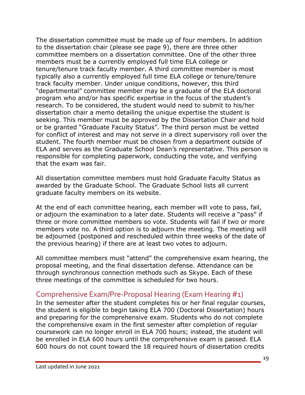The dissertation committee must be made up of four members. In addition to the dissertation chair (please see page 9), there are three other committee members on a dissertation committee. One of the other three members must be a currently employed full time ELA college or tenure/tenure track faculty member. A third committee member is most typically also a currently employed full time ELA college or tenure/tenure track faculty member. Under unique conditions, however, this third "departmental" committee member may be a graduate of the ELA doctoral program who and/or has specific expertise in the focus of the student's research. To be considered, the student would need to submit to his/her dissertation chair a memo detailing the unique expertise the student is seeking. This member must be approved by the Dissertation Chair and hold or be granted "Graduate Faculty Status". The third person must be vetted for conflict of interest and may not serve in a direct supervisory roll over the student. The fourth member must be chosen from a department outside of ELA and serves as the Graduate School Dean's representative. This person is responsible for completing paperwork, conducting the vote, and verifying that the exam was fair.

All dissertation committee members must hold Graduate Faculty Status as awarded by the Graduate School. The Graduate School lists all current graduate faculty members on its website.

At the end of each committee hearing, each member will vote to pass, fail, or adjourn the examination to a later date. Students will receive a "pass" if three or more committee members so vote. Students will fail if two or more members vote no. A third option is to adjourn the meeting. The meeting will be adjourned (postponed and rescheduled within three weeks of the date of the previous hearing) if there are at least two votes to adjourn.

All committee members must "attend" the comprehensive exam hearing, the proposal meeting, and the final dissertation defense. Attendance can be through synchronous connection methods such as Skype. Each of these three meetings of the committee is scheduled for two hours.

# Comprehensive Exam/Pre-Proposal Hearing (Exam Hearing #1)

In the semester after the student completes his or her final regular courses, the student is eligible to begin taking ELA 700 (Doctoral Dissertation) hours and preparing for the comprehensive exam. Students who do not complete the comprehensive exam in the first semester after completion of regular coursework can no longer enroll in ELA 700 hours; instead, the student will be enrolled in ELA 600 hours until the comprehensive exam is passed. ELA 600 hours do not count toward the 18 required hours of dissertation credits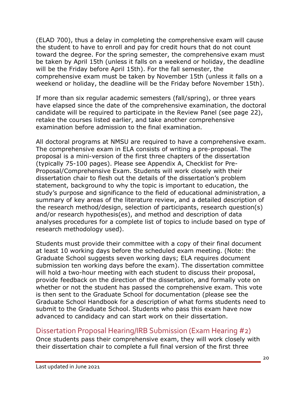(ELAD 700), thus a delay in completing the comprehensive exam will cause the student to have to enroll and pay for credit hours that do not count toward the degree. For the spring semester, the comprehensive exam must be taken by April 15th (unless it falls on a weekend or holiday, the deadline will be the Friday before April 15th). For the fall semester, the comprehensive exam must be taken by November 15th (unless it falls on a weekend or holiday, the deadline will be the Friday before November 15th).

If more than six regular academic semesters (fall/spring), or three years have elapsed since the date of the comprehensive examination, the doctoral candidate will be required to participate in the Review Panel (see page 22), retake the courses listed earlier, and take another comprehensive examination before admission to the final examination.

All doctoral programs at NMSU are required to have a comprehensive exam. The comprehensive exam in ELA consists of writing a pre-proposal. The proposal is a mini-version of the first three chapters of the dissertation (typically 75-100 pages). Please see Appendix A, Checklist for Pre-Proposal/Comprehensive Exam. Students will work closely with their dissertation chair to flesh out the details of the dissertation's problem statement, background to why the topic is important to education, the study's purpose and significance to the field of educational administration, a summary of key areas of the literature review, and a detailed description of the research method/design, selection of participants, research question(s) and/or research hypothesis(es), and method and description of data analyses procedures for a complete list of topics to include based on type of research methodology used).

Students must provide their committee with a copy of their final document at least 10 working days before the scheduled exam meeting. (Note: the Graduate School suggests seven working days; ELA requires document submission ten working days before the exam). The dissertation committee will hold a two-hour meeting with each student to discuss their proposal, provide feedback on the direction of the dissertation, and formally vote on whether or not the student has passed the comprehensive exam. This vote is then sent to the Graduate School for documentation (please see the Graduate School Handbook for a description of what forms students need to submit to the Graduate School. Students who pass this exam have now advanced to candidacy and can start work on their dissertation.

# Dissertation Proposal Hearing/IRB Submission (Exam Hearing #2)

Once students pass their comprehensive exam, they will work closely with their dissertation chair to complete a full final version of the first three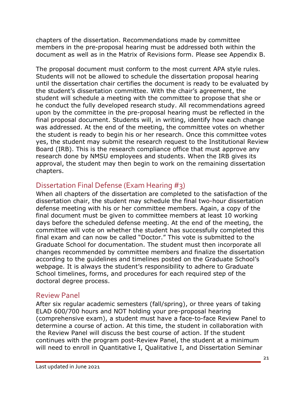chapters of the dissertation. Recommendations made by committee members in the pre-proposal hearing must be addressed both within the document as well as in the Matrix of Revisions form. Please see Appendix B.

The proposal document must conform to the most current APA style rules. Students will not be allowed to schedule the dissertation proposal hearing until the dissertation chair certifies the document is ready to be evaluated by the student's dissertation committee. With the chair's agreement, the student will schedule a meeting with the committee to propose that she or he conduct the fully developed research study. All recommendations agreed upon by the committee in the pre-proposal hearing must be reflected in the final proposal document. Students will, in writing, identify how each change was addressed. At the end of the meeting, the committee votes on whether the student is ready to begin his or her research. Once this committee votes yes, the student may submit the research request to the Institutional Review Board (IRB). This is the research compliance office that must approve any research done by NMSU employees and students. When the IRB gives its approval, the student may then begin to work on the remaining dissertation chapters.

# Dissertation Final Defense (Exam Hearing #3)

When all chapters of the dissertation are completed to the satisfaction of the dissertation chair, the student may schedule the final two-hour dissertation defense meeting with his or her committee members. Again, a copy of the final document must be given to committee members at least 10 working days before the scheduled defense meeting. At the end of the meeting, the committee will vote on whether the student has successfully completed this final exam and can now be called "Doctor." This vote is submitted to the Graduate School for documentation. The student must then incorporate all changes recommended by committee members and finalize the dissertation according to the guidelines and timelines posted on the Graduate School's webpage. It is always the student's responsibility to adhere to Graduate School timelines, forms, and procedures for each required step of the doctoral degree process.

# Review Panel

After six regular academic semesters (fall/spring), or three years of taking ELAD 600/700 hours and NOT holding your pre-proposal hearing (comprehensive exam), a student must have a face-to-face Review Panel to determine a course of action. At this time, the student in collaboration with the Review Panel will discuss the best course of action. If the student continues with the program post-Review Panel, the student at a minimum will need to enroll in Quantitative I, Qualitative I, and Dissertation Seminar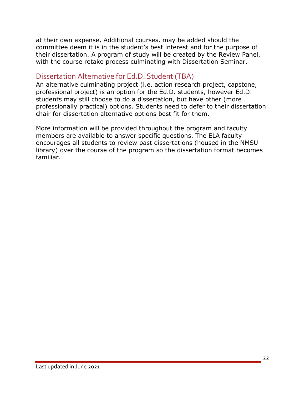at their own expense. Additional courses, may be added should the committee deem it is in the student's best interest and for the purpose of their dissertation. A program of study will be created by the Review Panel, with the course retake process culminating with Dissertation Seminar.

# Dissertation Alternative for Ed.D. Student (TBA)

An alternative culminating project (i.e. action research project, capstone, professional project) is an option for the Ed.D. students, however Ed.D. students may still choose to do a dissertation, but have other (more professionally practical) options. Students need to defer to their dissertation chair for dissertation alternative options best fit for them.

More information will be provided throughout the program and faculty members are available to answer specific questions. The ELA faculty encourages all students to review past dissertations (housed in the NMSU library) over the course of the program so the dissertation format becomes familiar.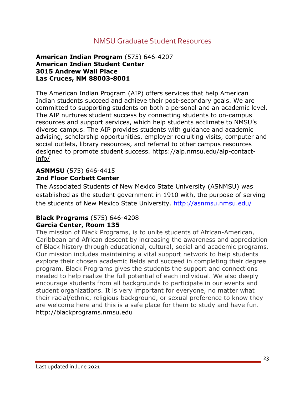# NMSU Graduate Student Resources

#### **American Indian Program** (575) 646-4207 **American Indian Student Center 3015 Andrew Wall Place Las Cruces, NM 88003-8001**

The American Indian Program (AIP) offers services that help American Indian students succeed and achieve their post-secondary goals. We are committed to supporting students on both a personal and an academic level. The AIP nurtures student success by connecting students to on-campus resources and support services, which help students acclimate to NMSU's diverse campus. The AIP provides students with guidance and academic advising, scholarship opportunities, employer recruiting visits, computer and social outlets, library resources, and referral to other campus resources designed to promote student success. https://aip.nmsu.edu/aip-contactinfo/

#### **ASNMSU** (575) 646-4415 **2nd Floor Corbett Center**

The Associated Students of New Mexico State University (ASNMSU) was established as the student government in 1910 with, the purpose of serving the students of New Mexico State University. http://asnmsu.nmsu.edu/

#### **Black Programs** (575) 646-4208 **Garcia Center, Room 135**

The mission of Black Programs, is to unite students of African-American, Caribbean and African descent by increasing the awareness and appreciation of Black history through educational, cultural, social and academic programs. Our mission includes maintaining a vital support network to help students explore their chosen academic fields and succeed in completing their degree program. Black Programs gives the students the support and connections needed to help realize the full potential of each individual. We also deeply encourage students from all backgrounds to participate in our events and student organizations. It is very important for everyone, no matter what their racial/ethnic, religious background, or sexual preference to know they are welcome here and this is a safe place for them to study and have fun. http://blackprograms.nmsu.edu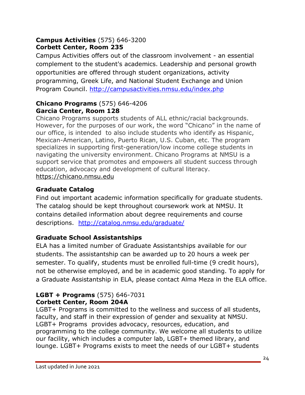#### **Campus Activities** (575) 646-3200 **Corbett Center, Room 235**

Campus Activities offers out of the classroom involvement - an essential complement to the student's academics. Leadership and personal growth opportunities are offered through student organizations, activity programming, Greek Life, and National Student Exchange and Union Program Council. http://campusactivities.nmsu.edu/index.php

## **Chicano Programs** (575) 646-4206 **Garcia Center, Room 128**

Chicano Programs supports students of ALL ethnic/racial backgrounds. However, for the purposes of our work, the word "Chicano" in the name of our office, is intended to also include students who identify as Hispanic, Mexican-American, Latino, Puerto Rican, U.S. Cuban, etc. The program specializes in supporting first-generation/low income college students in navigating the university environment. Chicano Programs at NMSU is a support service that promotes and empowers all student success through education, advocacy and development of cultural literacy. https://chicano.nmsu.edu

# **Graduate Catalog**

Find out important academic information specifically for graduate students. The catalog should be kept throughout coursework work at NMSU. It contains detailed information about degree requirements and course descriptions. http://catalog.nmsu.edu/graduate/

# **Graduate School Assistantships**

ELA has a limited number of Graduate Assistantships available for our students. The assistantship can be awarded up to 20 hours a week per semester. To qualify, students must be enrolled full-time (9 credit hours), not be otherwise employed, and be in academic good standing. To apply for a Graduate Assistantship in ELA, please contact Alma Meza in the ELA office.

#### **LGBT + Programs** (575) 646-7031 **Corbett Center, Room 204A**

LGBT+ Programs is committed to the wellness and success of all students, faculty, and staff in their expression of gender and sexuality at NMSU. LGBT+ Programs provides advocacy, resources, education, and programming to the college community. We welcome all students to utilize our facility, which includes a computer lab, LGBT+ themed library, and lounge. LGBT+ Programs exists to meet the needs of our LGBT+ students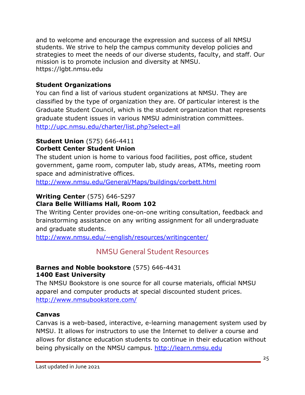and to welcome and encourage the expression and success of all NMSU students. We strive to help the campus community develop policies and strategies to meet the needs of our diverse students, faculty, and staff. Our mission is to promote inclusion and diversity at NMSU. https://lgbt.nmsu.edu

# **Student Organizations**

You can find a list of various student organizations at NMSU. They are classified by the type of organization they are. Of particular interest is the Graduate Student Council, which is the student organization that represents graduate student issues in various NMSU administration committees. http://upc.nmsu.edu/charter/list.php?select=all

#### **Student Union** (575) 646-4411 **Corbett Center Student Union**

The student union is home to various food facilities, post office, student government, game room, computer lab, study areas, ATMs, meeting room space and administrative offices.

http://www.nmsu.edu/General/Maps/buildings/corbett.html

# **Writing Center** (575) 646-5297

#### **Clara Belle Williams Hall, Room 102**

The Writing Center provides one-on-one writing consultation, feedback and brainstorming assistance on any writing assignment for all undergraduate and graduate students.

http://www.nmsu.edu/~english/resources/writingcenter/

# NMSU General Student Resources

#### **Barnes and Noble bookstore** (575) 646-4431 **1400 East University**

The NMSU Bookstore is one source for all course materials, official NMSU apparel and computer products at special discounted student prices. http://www.nmsubookstore.com/

#### **Canvas**

Canvas is a web-based, interactive, e-learning management system used by NMSU. It allows for instructors to use the Internet to deliver a course and allows for distance education students to continue in their education without being physically on the NMSU campus. http://learn.nmsu.edu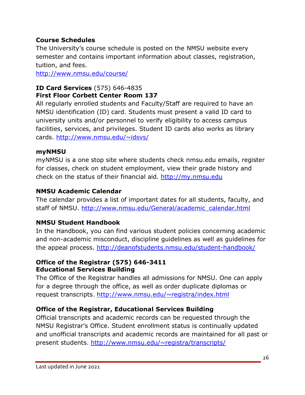# **Course Schedules**

The University's course schedule is posted on the NMSU website every semester and contains important information about classes, registration, tuition, and fees.

http://www.nmsu.edu/course/

#### **ID Card Services** (575) 646-4835 **First Floor Corbett Center Room 137**

All regularly enrolled students and Faculty/Staff are required to have an NMSU identification (ID) card. Students must present a valid ID card to university units and/or personnel to verify eligibility to access campus facilities, services, and privileges. Student ID cards also works as library cards. http://www.nmsu.edu/~idsvs/

#### **myNMSU**

myNMSU is a one stop site where students check nmsu.edu emails, register for classes, check on student employment, view their grade history and check on the status of their financial aid. http://my.nmsu.edu

#### **NMSU Academic Calendar**

The calendar provides a list of important dates for all students, faculty, and staff of NMSU. http://www.nmsu.edu/General/academic\_calendar.html

#### **NMSU Student Handbook**

In the Handbook, you can find various student policies concerning academic and non-academic misconduct, discipline guidelines as well as guidelines for the appeal process. http://deanofstudents.nmsu.edu/student-handbook/

#### **Office of the Registrar (575) 646-3411 Educational Services Building**

The Office of the Registrar handles all admissions for NMSU. One can apply for a degree through the office, as well as order duplicate diplomas or request transcripts. http://www.nmsu.edu/~registra/index.html

# **Office of the Registrar, Educational Services Building**

Official transcripts and academic records can be requested through the NMSU Registrar's Office. Student enrollment status is continually updated and unofficial transcripts and academic records are maintained for all past or present students. http://www.nmsu.edu/~registra/transcripts/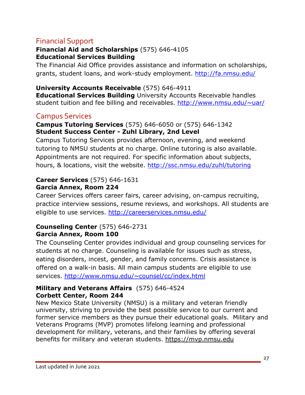# Financial Support

#### **Financial Aid and Scholarships** (575) 646-4105 **Educational Services Building**

The Financial Aid Office provides assistance and information on scholarships, grants, student loans, and work-study employment. http://fa.nmsu.edu/

**University Accounts Receivable** (575) 646-4911 **Educational Services Building** University Accounts Receivable handles student tuition and fee billing and receivables. http://www.nmsu.edu/~uar/

# Campus Services

#### **Campus Tutoring Services** (575) 646-6050 or (575) 646-1342 **Student Success Center - Zuhl Library, 2nd Level**

Campus Tutoring Services provides afternoon, evening, and weekend tutoring to NMSU students at no charge. Online tutoring is also available. Appointments are not required. For specific information about subjects, hours, & locations, visit the website. http://ssc.nmsu.edu/zuhl/tutoring

#### **Career Services** (575) 646-1631 **Garcia Annex, Room 224**

Career Services offers career fairs, career advising, on-campus recruiting, practice interview sessions, resume reviews, and workshops. All students are eligible to use services. http://careerservices.nmsu.edu/

#### **Counseling Center** (575) 646-2731 **Garcia Annex, Room 100**

The Counseling Center provides individual and group counseling services for students at no charge. Counseling is available for issues such as stress, eating disorders, incest, gender, and family concerns. Crisis assistance is offered on a walk-in basis. All main campus students are eligible to use services. http://www.nmsu.edu/~counsel/cc/index.html

#### **Military and Veterans Affairs** (575) 646-4524 **Corbett Center, Room 244**

New Mexico State University (NMSU) is a military and veteran friendly university, striving to provide the best possible service to our current and former service members as they pursue their educational goals. Military and Veterans Programs (MVP) promotes lifelong learning and professional development for military, veterans, and their families by offering several benefits for military and veteran students. https://mvp.nmsu.edu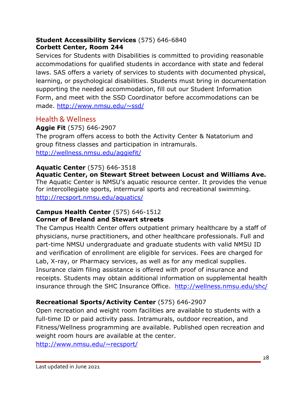#### **Student Accessibility Services** (575) 646-6840 **Corbett Center, Room 244**

Services for Students with Disabilities is committed to providing reasonable accommodations for qualified students in accordance with state and federal laws. SAS offers a variety of services to students with documented physical, learning, or psychological disabilities. Students must bring in documentation supporting the needed accommodation, fill out our Student Information Form, and meet with the SSD Coordinator before accommodations can be made. http://www.nmsu.edu/~ssd/

# Health & Wellness

# **Aggie Fit** (575) 646-2907

The program offers access to both the Activity Center & Natatorium and group fitness classes and participation in intramurals. http://wellness.nmsu.edu/aggiefit/

#### **Aquatic Center** (575) 646-3518

**Aquatic Center, on Stewart Street between Locust and Williams Ave.** The Aquatic Center is NMSU's aquatic resource center. It provides the venue for intercollegiate sports, intermural sports and recreational swimming. http://recsport.nmsu.edu/aquatics/

#### **Campus Health Center** (575) 646-1512 **Corner of Breland and Stewart streets**

The Campus Health Center offers outpatient primary healthcare by a staff of physicians, nurse practitioners, and other healthcare professionals. Full and part-time NMSU undergraduate and graduate students with valid NMSU ID and verification of enrollment are eligible for services. Fees are charged for Lab, X-ray, or Pharmacy services, as well as for any medical supplies. Insurance claim filing assistance is offered with proof of insurance and receipts. Students may obtain additional information on supplemental health insurance through the SHC Insurance Office. http://wellness.nmsu.edu/shc/

# **Recreational Sports/Activity Center** (575) 646-2907

Open recreation and weight room facilities are available to students with a full-time ID or paid activity pass. Intramurals, outdoor recreation, and Fitness/Wellness programming are available. Published open recreation and weight room hours are available at the center.

http://www.nmsu.edu/~recsport/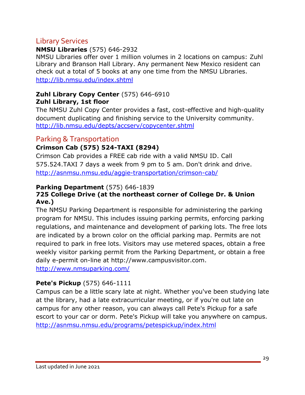# Library Services

#### **NMSU Libraries** (575) 646-2932

NMSU Libraries offer over 1 million volumes in 2 locations on campus: Zuhl Library and Branson Hall Library. Any permanent New Mexico resident can check out a total of 5 books at any one time from the NMSU Libraries. http://lib.nmsu.edu/index.shtml

#### **Zuhl Library Copy Center** (575) 646-6910 **Zuhl Library, 1st floor**

The NMSU Zuhl Copy Center provides a fast, cost-effective and high-quality document duplicating and finishing service to the University community. http://lib.nmsu.edu/depts/accserv/copycenter.shtml

# Parking & Transportation

# **Crimson Cab (575) 524-TAXI (8294)**

Crimson Cab provides a FREE cab ride with a valid NMSU ID. Call 575.524.TAXI 7 days a week from 9 pm to 5 am. Don't drink and drive. http://asnmsu.nmsu.edu/aggie-transportation/crimson-cab/

#### **Parking Department** (575) 646-1839

#### **725 College Drive (at the northeast corner of College Dr. & Union Ave.)**

The NMSU Parking Department is responsible for administering the parking program for NMSU. This includes issuing parking permits, enforcing parking regulations, and maintenance and development of parking lots. The free lots are indicated by a brown color on the official parking map. Permits are not required to park in free lots. Visitors may use metered spaces, obtain a free weekly visitor parking permit from the Parking Department, or obtain a free daily e-permit on-line at http://www.campusvisitor.com.

http://www.nmsuparking.com/

# **Pete's Pickup** (575) 646-1111

Campus can be a little scary late at night. Whether you've been studying late at the library, had a late extracurricular meeting, or if you're out late on campus for any other reason, you can always call Pete's Pickup for a safe escort to your car or dorm. Pete's Pickup will take you anywhere on campus. http://asnmsu.nmsu.edu/programs/petespickup/index.html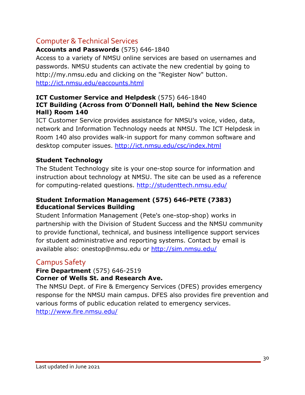# Computer & Technical Services

# **Accounts and Passwords** (575) 646-1840

Access to a variety of NMSU online services are based on usernames and passwords. NMSU students can activate the new credential by going to http://my.nmsu.edu and clicking on the "Register Now" button. http://ict.nmsu.edu/eaccounts.html

#### **ICT Customer Service and Helpdesk** (575) 646-1840 **ICT Building (Across from O'Donnell Hall, behind the New Science Hall) Room 140**

ICT Customer Service provides assistance for NMSU's voice, video, data, network and Information Technology needs at NMSU. The ICT Helpdesk in Room 140 also provides walk-in support for many common software and desktop computer issues. http://ict.nmsu.edu/csc/index.html

# **Student Technology**

The Student Technology site is your one-stop source for information and instruction about technology at NMSU. The site can be used as a reference for computing-related questions. http://studenttech.nmsu.edu/

#### **Student Information Management (575) 646-PETE (7383) Educational Services Building**

Student Information Management (Pete's one-stop-shop) works in partnership with the Division of Student Success and the NMSU community to provide functional, technical, and business intelligence support services for student administrative and reporting systems. Contact by email is available also: onestop@nmsu.edu or http://sim.nmsu.edu/

# Campus Safety

#### **Fire Department** (575) 646-2519 **Corner of Wells St. and Research Ave.**

The NMSU Dept. of Fire & Emergency Services (DFES) provides emergency response for the NMSU main campus. DFES also provides fire prevention and various forms of public education related to emergency services. http://www.fire.nmsu.edu/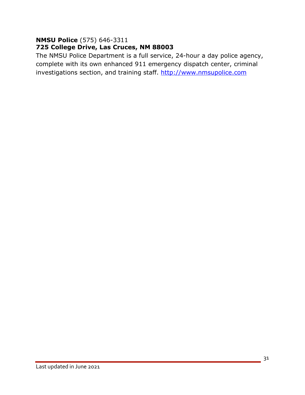#### **NMSU Police** (575) 646-3311 **725 College Drive, Las Cruces, NM 88003**

The NMSU Police Department is a full service, 24-hour a day police agency, complete with its own enhanced 911 emergency dispatch center, criminal investigations section, and training staff. http://www.nmsupolice.com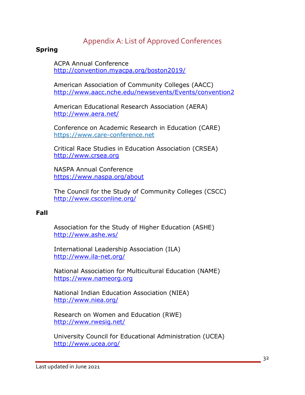# Appendix A: List of Approved Conferences

#### **Spring**

ACPA Annual Conference http://convention.myacpa.org/boston2019/

American Association of Community Colleges (AACC) http://www.aacc.nche.edu/newsevents/Events/convention2

American Educational Research Association (AERA) http://www.aera.net/

Conference on Academic Research in Education (CARE) https://www.care-conference.net

Critical Race Studies in Education Association (CRSEA) http://www.crsea.org

NASPA Annual Conference https://www.naspa.org/about

The Council for the Study of Community Colleges (CSCC) http://www.cscconline.org/

#### **Fall**

Association for the Study of Higher Education (ASHE) http://www.ashe.ws/

International Leadership Association (ILA) http://www.ila-net.org/

National Association for Multicultural Education (NAME) https://www.nameorg.org

National Indian Education Association (NIEA) http://www.niea.org/

Research on Women and Education (RWE) http://www.rwesig.net/

University Council for Educational Administration (UCEA) http://www.ucea.org/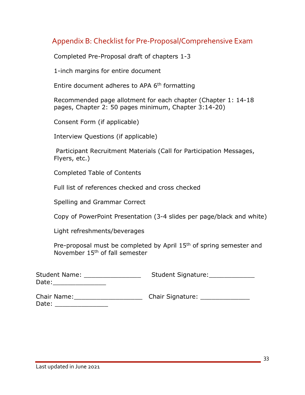# Appendix B: Checklist for Pre-Proposal/Comprehensive Exam

Completed Pre-Proposal draft of chapters 1-3

1-inch margins for entire document

Entire document adheres to APA 6<sup>th</sup> formatting

 Recommended page allotment for each chapter (Chapter 1: 14-18 pages, Chapter 2: 50 pages minimum, Chapter 3:14-20)

Consent Form (if applicable)

Interview Questions (if applicable)

 Participant Recruitment Materials (Call for Participation Messages, Flyers, etc.)

Completed Table of Contents

Full list of references checked and cross checked

Spelling and Grammar Correct

Copy of PowerPoint Presentation (3-4 slides per page/black and white)

Light refreshments/beverages

Pre-proposal must be completed by April 15<sup>th</sup> of spring semester and November 15th of fall semester

| <b>Student Name:</b> | Student Signature: |  |  |  |  |
|----------------------|--------------------|--|--|--|--|
| Date:                |                    |  |  |  |  |
|                      |                    |  |  |  |  |

| Chair Name: | <b>Chair Signature:</b> |  |  |  |  |
|-------------|-------------------------|--|--|--|--|
| Date:       |                         |  |  |  |  |